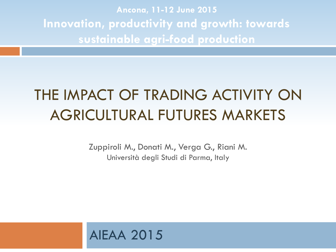**Ancona, 11-12 June 2015 Innovation, productivity and growth: towards sustainable agri-food production**

#### THE IMPACT OF TRADING ACTIVITY ON AGRICULTURAL FUTURES MARKETS

Zuppiroli M., Donati M., Verga G., Riani M. Università degli Studi di Parma, Italy

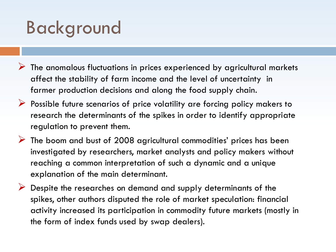# Background

- $\triangleright$  The anomalous fluctuations in prices experienced by agricultural markets affect the stability of farm income and the level of uncertainty in farmer production decisions and along the food supply chain.
- $\triangleright$  Possible future scenarios of price volatility are forcing policy makers to research the determinants of the spikes in order to identify appropriate regulation to prevent them.
- $\triangleright$  The boom and bust of 2008 agricultural commodities' prices has been investigated by researchers, market analysts and policy makers without reaching a common interpretation of such a dynamic and a unique explanation of the main determinant.
- Despite the researches on demand and supply determinants of the spikes, other authors disputed the role of market speculation: financial activity increased its participation in commodity future markets (mostly in the form of index funds used by swap dealers).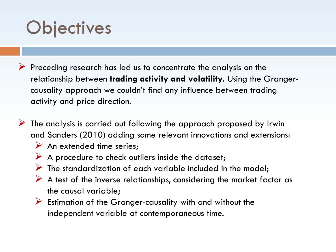# **Objectives**

- Preceding research has led us to concentrate the analysis on the relationship between **trading activity and volatility**. Using the Grangercausality approach we couldn't find any influence between trading activity and price direction.
- $\triangleright$  The analysis is carried out following the approach proposed by Irwin and Sanders (2010) adding some relevant innovations and extensions:
	- $\triangleright$  An extended time series;
	- $\triangleright$  A procedure to check outliers inside the dataset;
	- $\triangleright$  The standardization of each variable included in the model;
	- $\triangleright$  A test of the inverse relationships, considering the market factor as the causal variable;
	- $\triangleright$  Estimation of the Granger-causality with and without the independent variable at contemporaneous time.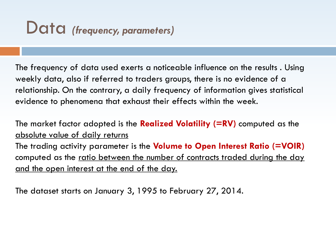#### Data *(frequency, parameters)*

The frequency of data used exerts a noticeable influence on the results . Using weekly data, also if referred to traders groups, there is no evidence of a relationship. On the contrary, a daily frequency of information gives statistical evidence to phenomena that exhaust their effects within the week.

The market factor adopted is the **Realized Volatility (=RV)** computed as the absolute value of daily returns

The trading activity parameter is the **Volume to Open Interest Ratio (=VOIR)**  computed as the ratio between the number of contracts traded during the day and the open interest at the end of the day.

The dataset starts on January 3, 1995 to February 27, 2014.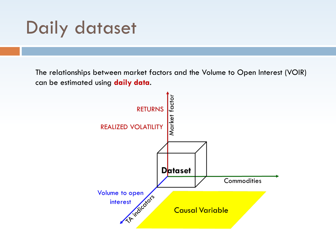# Daily dataset

The relationships between market factors and the Volume to Open Interest (VOIR) can be estimated using **daily data**.

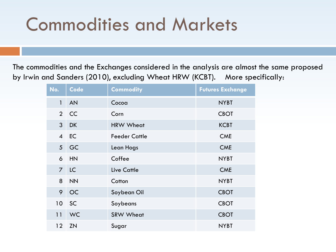# Commodities and Markets

The commodities and the Exchanges considered in the analysis are almost the same proposed by Irwin and Sanders (2010), excluding Wheat HRW (KCBT). More specifically:

| No.            | Code      | <b>Commodity</b>     | <b>Futures Exchange</b> |
|----------------|-----------|----------------------|-------------------------|
| $\mathbf{1}$   | <b>AN</b> | Cocoa                | <b>NYBT</b>             |
| $\overline{2}$ | <b>CC</b> | Corn                 | <b>CBOT</b>             |
| $\mathbf{3}$   | <b>DK</b> | <b>HRW Wheat</b>     | <b>KCBT</b>             |
| $\overline{4}$ | EC        | <b>Feeder Cattle</b> | <b>CME</b>              |
| 5              | GC        | Lean Hogs            | <b>CME</b>              |
| $\mathbf 6$    | HN        | Coffee               | <b>NYBT</b>             |
| $\overline{7}$ | <b>LC</b> | <b>Live Cattle</b>   | <b>CME</b>              |
| 8              | <b>NN</b> | Cotton               | <b>NYBT</b>             |
| 9              | <b>OC</b> | Soybean Oil          | <b>CBOT</b>             |
| 10             | SC        | Soybeans             | <b>CBOT</b>             |
| 11             | <b>WC</b> | <b>SRW Wheat</b>     | <b>CBOT</b>             |
| 12             | <b>ZN</b> | Sugar                | <b>NYBT</b>             |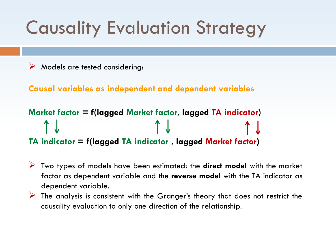# Causality Evaluation Strategy

Models are tested considering:

**Causal variables as independent and dependent variables**

```
Market factor = f(lagged Market factor, lagged TA indicator)
                                  \uparrow 1.
TA indicator = f(lagged TA indicator , lagged Market factor)
```
- Two types of models have been estimated: the **direct model** with the market factor as dependent variable and the **reverse model** with the TA indicator as dependent variable.
- $\triangleright$  The analysis is consistent with the Granger's theory that does not restrict the causality evaluation to only one direction of the relationship.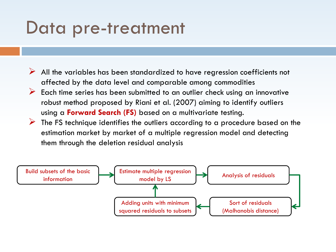#### Data pre-treatment

- $\triangleright$  All the variables has been standardized to have regression coefficients not affected by the data level and comparable among commodities
- $\triangleright$  Each time series has been submitted to an outlier check using an innovative robust method proposed by Riani et al. (2007) aiming to identify outliers using a **Forward Search (FS)** based on a multivariate testing.
- $\triangleright$  The FS technique identifies the outliers according to a procedure based on the estimation market by market of a multiple regression model and detecting them through the deletion residual analysis

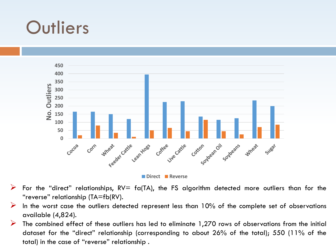## **Outliers**



- For the "direct" relationships,  $RV=$  fa(TA), the FS algorithm detected more outliers than for the "reverse" relationship (TA=fb(RV).
- In the worst case the outliers detected represent less than  $10\%$  of the complete set of observations available (4,824).
- $\triangleright$  The combined effect of these outliers has led to eliminate 1,270 rows of observations from the initial dataset for the "direct" relationship (corresponding to about 26% of the total); 550 (11% of the total) in the case of "reverse" relationship .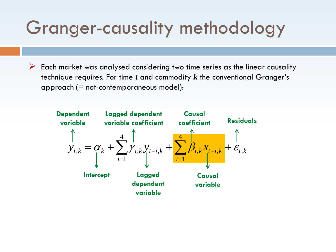# Granger-causality methodology

 $\triangleright$  Each market was analysed considering two time series as the linear causality technique requires. For time *t* and commodity *k* the conventional Granger's approach  $(=$  not-contemporaneous model):

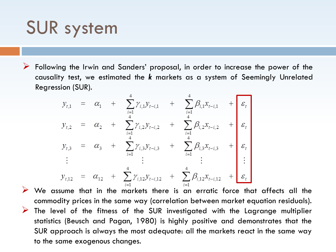## SUR system

Following the Irwin and Sanders' proposal, in order to increase the power of the causality test, we estimated the *k* markets as a system of Seemingly Unrelated Regression (SUR).

$$
y_{t,1} = \alpha_1 + \sum_{i=1}^{4} \gamma_{i,1} y_{t-i,1} + \sum_{i=1}^{4} \beta_{i,1} x_{t-i,1} + \varepsilon_t
$$
  
\n
$$
y_{t,2} = \alpha_2 + \sum_{i=1}^{4} \gamma_{i,2} y_{t-i,2} + \sum_{i=1}^{4} \beta_{i,2} x_{t-i,2} + \varepsilon_t
$$
  
\n
$$
y_{t,3} = \alpha_3 + \sum_{i=1}^{4} \gamma_{i,3} y_{t-i,3} + \sum_{i=1}^{4} \beta_{i,3} x_{t-i,3} + \varepsilon_t
$$
  
\n
$$
\vdots \qquad \vdots \qquad \vdots
$$
  
\n
$$
y_{t,12} = \alpha_{12} + \sum_{i=1}^{4} \gamma_{i,12} y_{t-i,12} + \sum_{i=1}^{4} \beta_{i,12} x_{t-i,12} + \varepsilon_t
$$

 $\triangleright$  We assume that in the markets there is an erratic force that affects all the commodity prices in the same way (correlation between market equation residuals).  $\triangleright$  The level of the fitness of the SUR investigated with the Lagrange multiplier statistics (Beusch and Pagan, 1980) is highly positive and demonstrates that the SUR approach is always the most adequate: all the markets react in the same way to the same exogenous changes.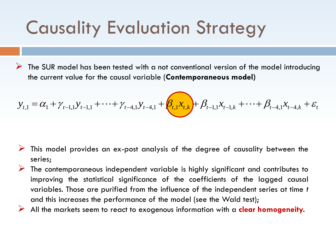# Causality Evaluation Strategy

 The SUR model has been tested with a not conventional version of the model introducing the current value for the causal variable (**Contemporaneous model)**

$$
y_{t,1} = \alpha_1 + \gamma_{t-1,1} y_{t-1,1} + \dots + \gamma_{t-4,1} y_{t-4,1} + \beta_{t,1} x_{t,k} + \beta_{t-1,1} x_{t-1,k} + \dots + \beta_{t-4,1} x_{t-4,k} + \varepsilon_t
$$

- This model provides an ex-post analysis of the degree of causality between the series;
- The contemporaneous independent variable is highly significant and contributes to improving the statistical significance of the coefficients of the lagged causal variables. Those are purified from the influence of the independent series at time *t* and this increases the performance of the model (see the Wald test);
- All the markets seem to react to exogenous information with a **clear homogeneity.**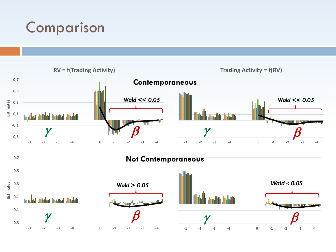#### Comparison

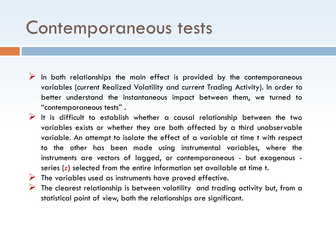#### Contemporaneous tests

- $\triangleright$  In both relationships the main effect is provided by the contemporaneous variables (current Realized Volatility and current Trading Activity). In order to better understand the instantaneous impact between them, we turned to "contemporaneous tests" .
- $\triangleright$  It is difficult to establish whether a causal relationship between the two variables exists or whether they are both affected by a third unobservable variable. An attempt to isolate the effect of a variable at time t with respect to the other has been made using instrumental variables, where the instruments are vectors of lagged, or contemporaneous - but exogenous series (*z*) selected from the entire information set available at time t.
- $\triangleright$  The variables used as instruments have proved effective.
- $\triangleright$  The clearest relationship is between volatility and trading activity but, from a statistical point of view, both the relationships are significant.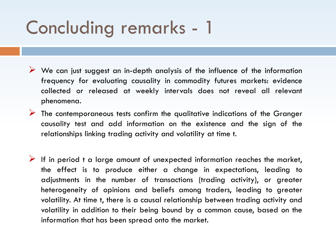# Concluding remarks - 1

- $\triangleright$  We can just suggest an in-depth analysis of the influence of the information frequency for evaluating causality in commodity futures markets: evidence collected or released at weekly intervals does not reveal all relevant phenomena.
- $\triangleright$  The contemporaneous tests confirm the qualitative indications of the Granger causality test and add information on the existence and the sign of the relationships linking trading activity and volatility at time t.
- If in period t a large amount of unexpected information reaches the market, the effect is to produce either a change in expectations, leading to adjustments in the number of transactions (trading activity), or greater heterogeneity of opinions and beliefs among traders, leading to greater volatility. At time t, there is a causal relationship between trading activity and volatility in addition to their being bound by a common cause, based on the information that has been spread onto the market.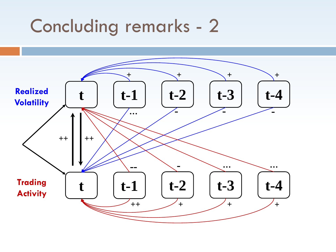### Concluding remarks - 2